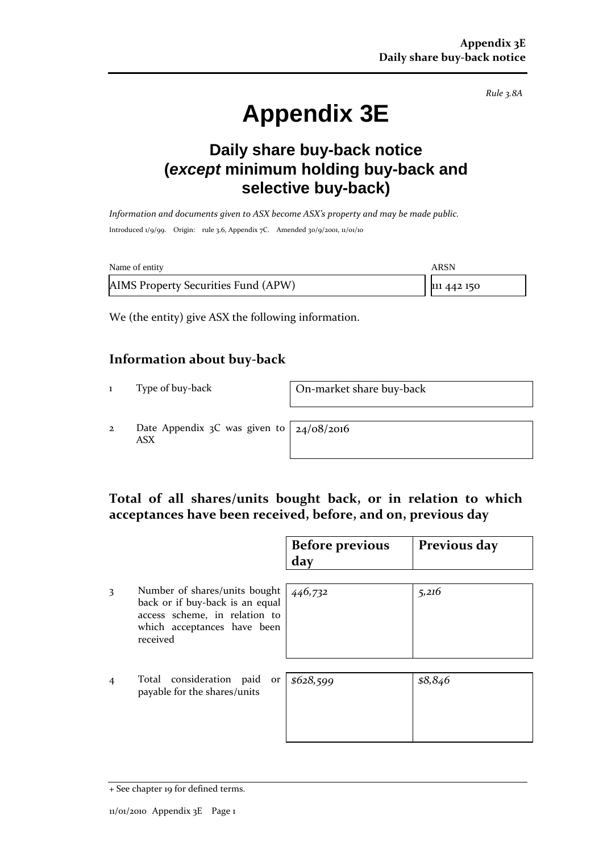*Rule 3.8A*

# **Appendix 3E**

# **Daily share buy-back notice (***except* **minimum holding buy-back and selective buy-back)**

*Information and documents given to ASX become ASX's property and may be made public.* Introduced 1/9/99. Origin: rule 3.6, Appendix 7C. Amended 30/9/2001, 11/01/10

| Name of entity                      | ARSN        |
|-------------------------------------|-------------|
| AIMS Property Securities Fund (APW) | 111 442 150 |

We (the entity) give ASX the following information.

#### **Information about buy-back**

1 Type of buy-back On-market share buy-back

2 Date Appendix 3C was given to ASX

24/08/2016

## **Total of all shares/units bought back, or in relation to which acceptances have been received, before, and on, previous day**

|                |                                                                                                                                              | <b>Before previous</b><br>day | Previous day |
|----------------|----------------------------------------------------------------------------------------------------------------------------------------------|-------------------------------|--------------|
| 3              | Number of shares/units bought<br>back or if buy-back is an equal<br>access scheme, in relation to<br>which acceptances have been<br>received | 446,732                       | 5,216        |
| $\overline{4}$ | Total consideration paid<br>or<br>payable for the shares/units                                                                               | \$628,599                     | \$8,846      |

<sup>+</sup> See chapter 19 for defined terms.